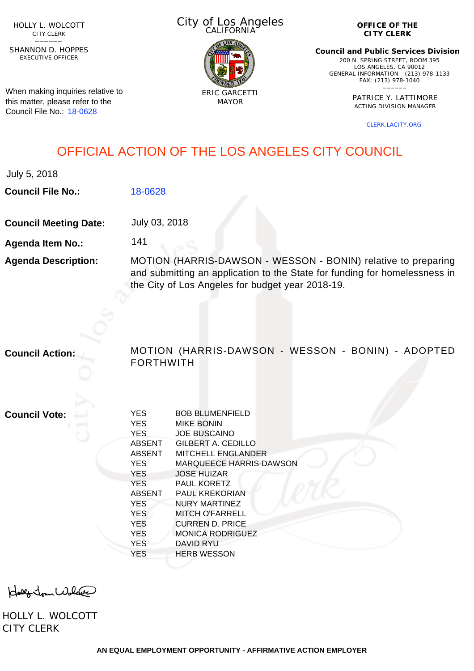HOLLY L. WOLCOTT CITY CLERK<br>—————

EXECUTIVE OFFICER SHANNON D. HOPPES

When making inquiries relative to this matter, please refer to the Council File No.: [18-0628](http://cityclerk.lacity.org/lacityclerkconnect/index.cfm?fa=ccfi.viewrecord&cfnumber=18-0628)

City of Los Angeles CALIFORNIA



**OFFICE OF THE CITY CLERK**

**Council and Public Services Division** 200 N. SPRING STREET, ROOM 395 LOS ANGELES, CA 90012 GENERAL INFORMATION - (213) 978-1133 FAX: (213) 978-1040 \_\_\_\_\_\_

> PATRICE Y. LATTIMORE ACTING DIVISION MANAGER

> > [CLERK.LACITY.ORG](http://clerk.lacity.org)

## OFFICIAL ACTION OF THE LOS ANGELES CITY COUNCIL

July 5, 2018

**Council File No.:** [18-0628](http://cityclerk.lacity.org/lacityclerkconnect/index.cfm?fa=ccfi.viewrecord&cfnumber=18-0628)

**Council Meeting Date:** July 03, 2018

141

**Agenda Item No.:**

**Agenda Description:** MOTION (HARRIS-DAWSON - WESSON - BONIN) relative to preparing and submitting an application to the State for funding for homelessness in the City of Los Angeles for budget year 2018-19.

**Council Action:** MOTION (HARRIS-DAWSON - WESSON - BONIN) - ADOPTED FORTHWITH

**Council Vote:**

| <b>YES</b>    | <b>BOB BLUMENFIELD</b>         |
|---------------|--------------------------------|
| <b>YES</b>    | <b>MIKE BONIN</b>              |
| <b>YES</b>    | <b>JOE BUSCAINO</b>            |
| <b>ABSENT</b> | GILBERT A. CEDILLO             |
| <b>ABSENT</b> | MITCHELL ENGLANDER             |
| <b>YES</b>    | <b>MARQUEECE HARRIS-DAWSON</b> |
| <b>YES</b>    | <b>JOSE HUIZAR</b>             |
| <b>YES</b>    | <b>PAUL KORETZ</b>             |
| <b>ABSENT</b> | <b>PAUL KREKORIAN</b>          |
| <b>YES</b>    | NURY MARTINEZ                  |
| <b>YES</b>    | <b>MITCH O'FARRELL</b>         |
| <b>YES</b>    | <b>CURREN D. PRICE</b>         |
| <b>YES</b>    | <b>MONICA RODRIGUEZ</b>        |
| <b>YES</b>    | <b>DAVID RYU</b>               |
| YES           | <b>HERB WESSON</b>             |
|               |                                |

Holly Jour Wolfer

HOLLY L. WOLCOTT CITY CLERK